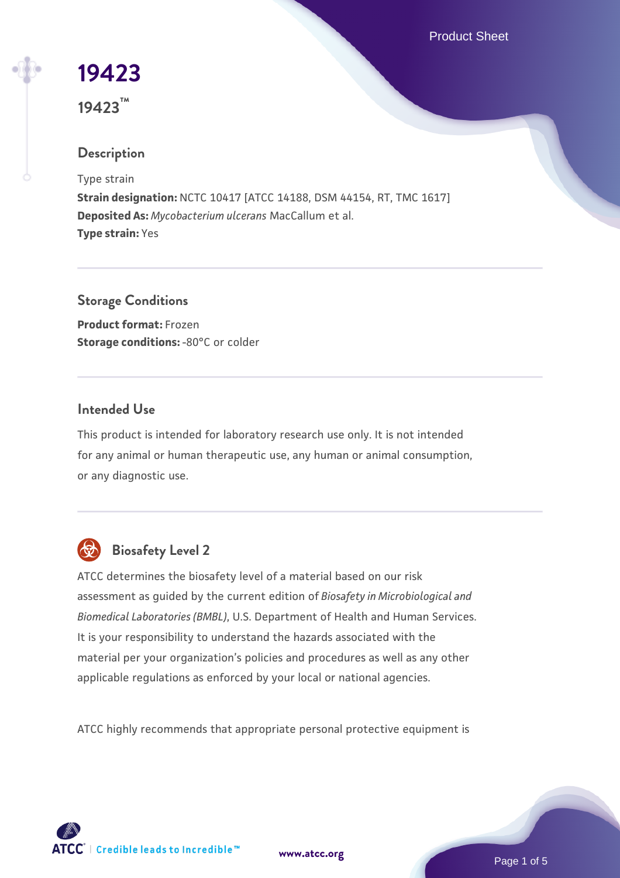Product Sheet

# **[19423](https://www.atcc.org/products/19423)**

**19423™**

# **Description**

Type strain

**Strain designation:** NCTC 10417 [ATCC 14188, DSM 44154, RT, TMC 1617] **Deposited As:** *Mycobacterium ulcerans* MacCallum et al. **Type strain:** Yes

**Storage Conditions**

**Product format:** Frozen **Storage conditions: -80°C or colder** 

# **Intended Use**

This product is intended for laboratory research use only. It is not intended for any animal or human therapeutic use, any human or animal consumption, or any diagnostic use.



# **Biosafety Level 2**

ATCC determines the biosafety level of a material based on our risk assessment as guided by the current edition of *Biosafety in Microbiological and Biomedical Laboratories (BMBL)*, U.S. Department of Health and Human Services. It is your responsibility to understand the hazards associated with the material per your organization's policies and procedures as well as any other applicable regulations as enforced by your local or national agencies.

ATCC highly recommends that appropriate personal protective equipment is

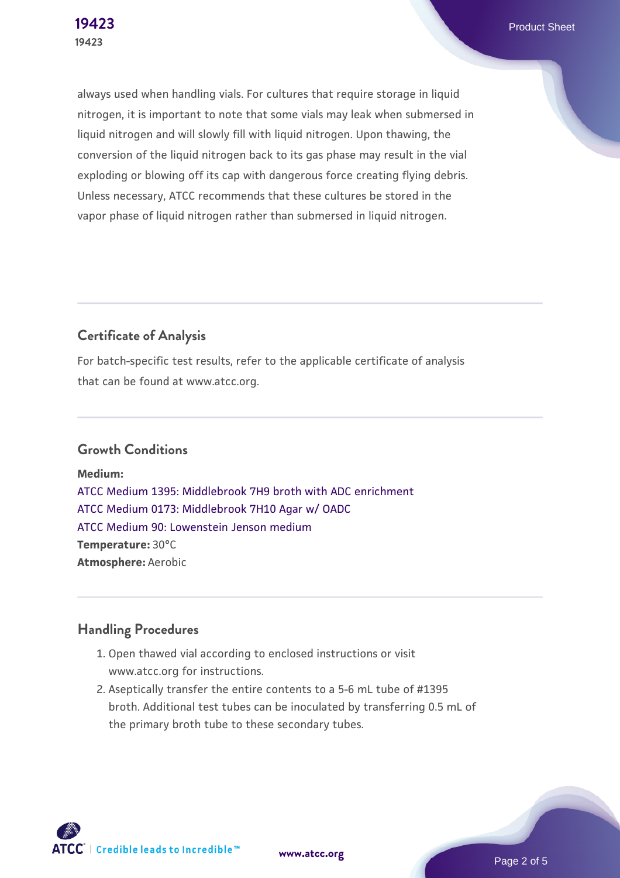always used when handling vials. For cultures that require storage in liquid nitrogen, it is important to note that some vials may leak when submersed in liquid nitrogen and will slowly fill with liquid nitrogen. Upon thawing, the conversion of the liquid nitrogen back to its gas phase may result in the vial exploding or blowing off its cap with dangerous force creating flying debris. Unless necessary, ATCC recommends that these cultures be stored in the vapor phase of liquid nitrogen rather than submersed in liquid nitrogen.

# **Certificate of Analysis**

For batch-specific test results, refer to the applicable certificate of analysis that can be found at www.atcc.org.

#### **Growth Conditions**

**Medium:**  [ATCC Medium 1395: Middlebrook 7H9 broth with ADC enrichment](https://www.atcc.org/-/media/product-assets/documents/microbial-media-formulations/1/3/9/5/atcc-medium-1395.pdf?rev=83f84c8c9e994a71a2edb0458ff02218) [ATCC Medium 0173: Middlebrook 7H10 Agar w/ OADC](https://www.atcc.org/-/media/product-assets/documents/microbial-media-formulations/0/1/7/3/atcc-medium-0173.pdf?rev=2fcd87d0ebaf471d8aa6aba3758ef39f) [ATCC Medium 90: Lowenstein Jenson medium](https://www.atcc.org/-/media/product-assets/documents/microbial-media-formulations/9/0/atcc-medium-90.pdf?rev=2af45eec61614a8e9024c1519219fe34) **Temperature:** 30°C **Atmosphere:** Aerobic

### **Handling Procedures**

- 1. Open thawed vial according to enclosed instructions or visit www.atcc.org for instructions.
- 2. Aseptically transfer the entire contents to a 5-6 mL tube of #1395 broth. Additional test tubes can be inoculated by transferring 0.5 mL of the primary broth tube to these secondary tubes.



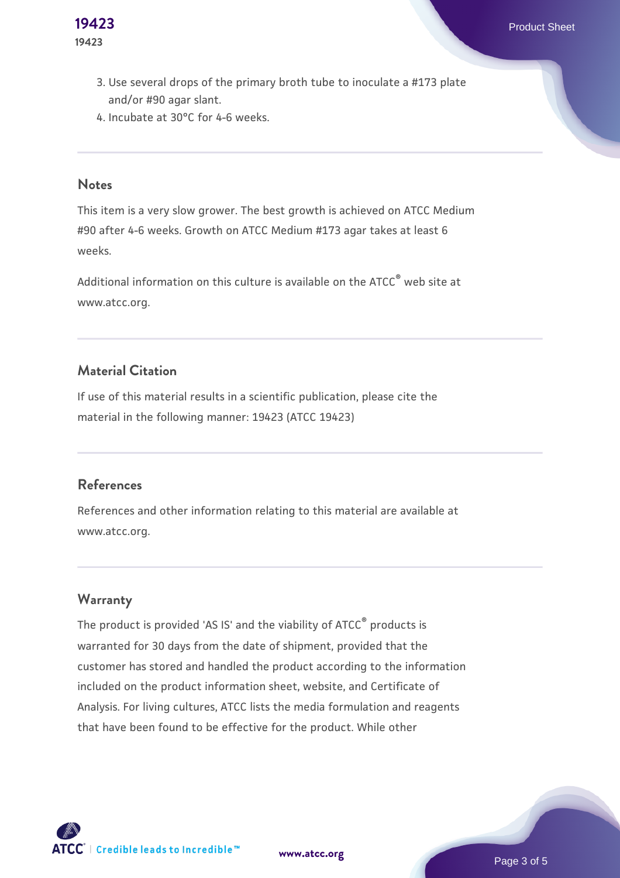- 3. Use several drops of the primary broth tube to inoculate a #173 plate  $\,$ and/or #90 agar slant.
- 4. Incubate at 30°C for 4-6 weeks.

#### **Notes**

This item is a very slow grower. The best growth is achieved on ATCC Medium #90 after 4-6 weeks. Growth on ATCC Medium #173 agar takes at least 6 weeks.

Additional information on this culture is available on the ATCC® web site at www.atcc.org.

#### **Material Citation**

If use of this material results in a scientific publication, please cite the material in the following manner: 19423 (ATCC 19423)

#### **References**

References and other information relating to this material are available at www.atcc.org.

#### **Warranty**

The product is provided 'AS IS' and the viability of ATCC® products is warranted for 30 days from the date of shipment, provided that the customer has stored and handled the product according to the information included on the product information sheet, website, and Certificate of Analysis. For living cultures, ATCC lists the media formulation and reagents that have been found to be effective for the product. While other



**[www.atcc.org](http://www.atcc.org)**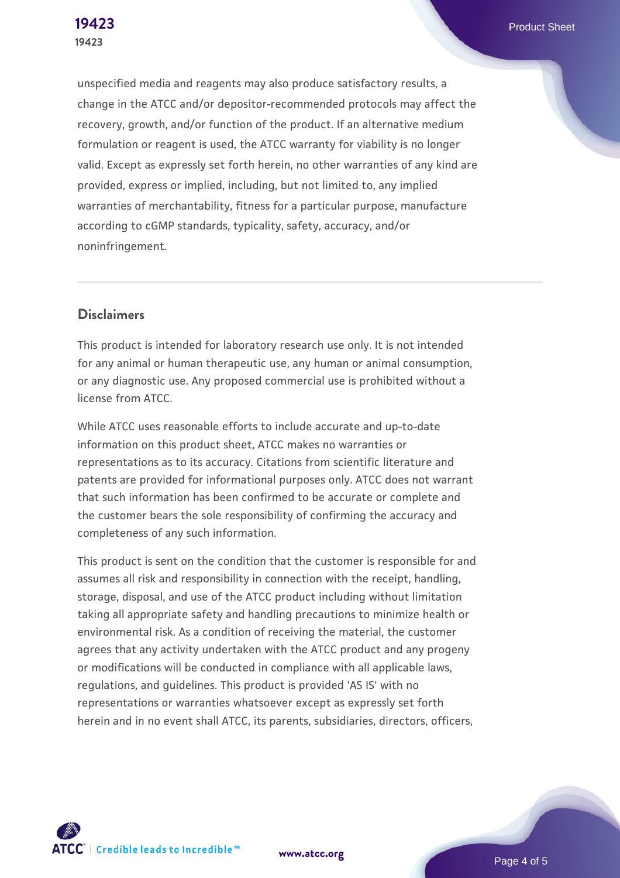unspecified media and reagents may also produce satisfactory results, a change in the ATCC and/or depositor-recommended protocols may affect the recovery, growth, and/or function of the product. If an alternative medium formulation or reagent is used, the ATCC warranty for viability is no longer valid. Except as expressly set forth herein, no other warranties of any kind are provided, express or implied, including, but not limited to, any implied warranties of merchantability, fitness for a particular purpose, manufacture according to cGMP standards, typicality, safety, accuracy, and/or noninfringement.

#### **Disclaimers**

This product is intended for laboratory research use only. It is not intended for any animal or human therapeutic use, any human or animal consumption, or any diagnostic use. Any proposed commercial use is prohibited without a license from ATCC.

While ATCC uses reasonable efforts to include accurate and up-to-date information on this product sheet, ATCC makes no warranties or representations as to its accuracy. Citations from scientific literature and patents are provided for informational purposes only. ATCC does not warrant that such information has been confirmed to be accurate or complete and the customer bears the sole responsibility of confirming the accuracy and completeness of any such information.

This product is sent on the condition that the customer is responsible for and assumes all risk and responsibility in connection with the receipt, handling, storage, disposal, and use of the ATCC product including without limitation taking all appropriate safety and handling precautions to minimize health or environmental risk. As a condition of receiving the material, the customer agrees that any activity undertaken with the ATCC product and any progeny or modifications will be conducted in compliance with all applicable laws, regulations, and guidelines. This product is provided 'AS IS' with no representations or warranties whatsoever except as expressly set forth herein and in no event shall ATCC, its parents, subsidiaries, directors, officers,